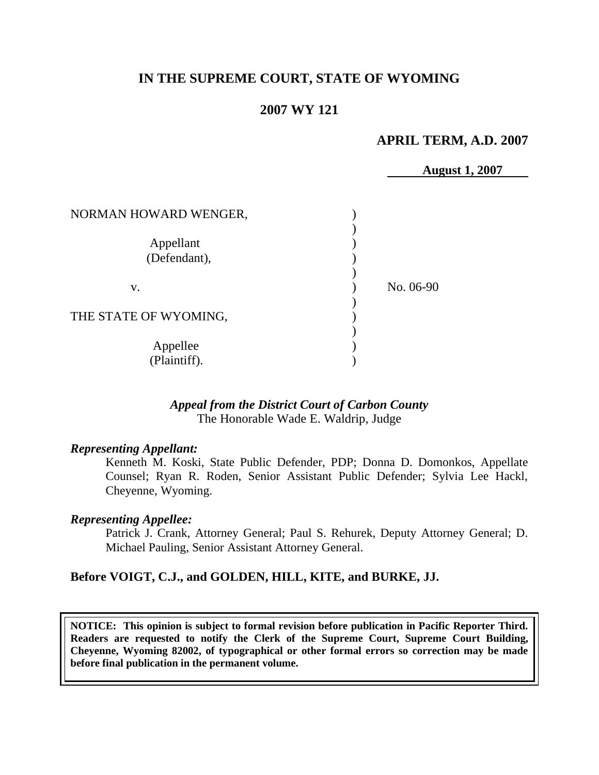# **IN THE SUPREME COURT, STATE OF WYOMING**

## **2007 WY 121**

### **APRIL TERM, A.D. 2007**

**August 1, 2007**

| NORMAN HOWARD WENGER,     |           |
|---------------------------|-----------|
| Appellant<br>(Defendant), |           |
| V.                        | No. 06-90 |
| THE STATE OF WYOMING,     |           |
| Appellee<br>(Plaintiff).  |           |

#### *Appeal from the District Court of Carbon County* The Honorable Wade E. Waldrip, Judge

#### *Representing Appellant:*

Kenneth M. Koski, State Public Defender, PDP; Donna D. Domonkos, Appellate Counsel; Ryan R. Roden, Senior Assistant Public Defender; Sylvia Lee Hackl, Cheyenne, Wyoming.

#### *Representing Appellee:*

Patrick J. Crank, Attorney General; Paul S. Rehurek, Deputy Attorney General; D. Michael Pauling, Senior Assistant Attorney General.

#### **Before VOIGT, C.J., and GOLDEN, HILL, KITE, and BURKE, JJ.**

**NOTICE: This opinion is subject to formal revision before publication in Pacific Reporter Third. Readers are requested to notify the Clerk of the Supreme Court, Supreme Court Building, Cheyenne, Wyoming 82002, of typographical or other formal errors so correction may be made before final publication in the permanent volume.**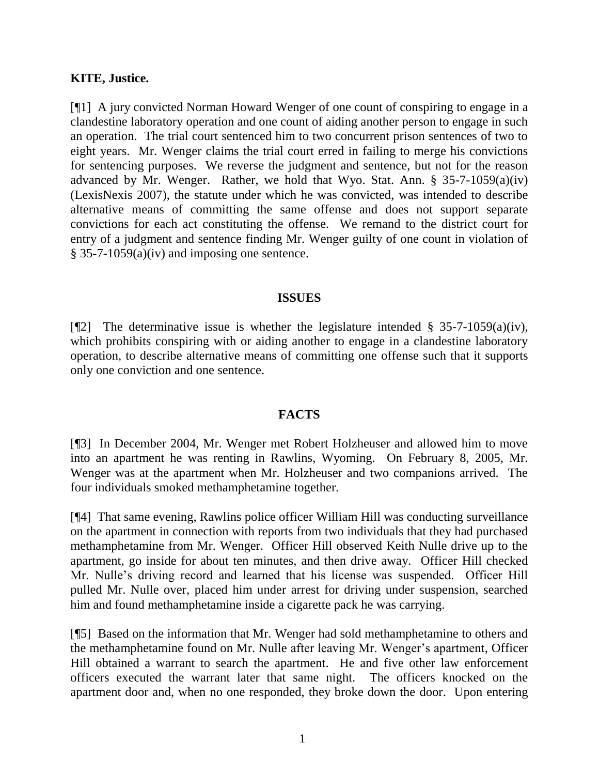### **KITE, Justice.**

[¶1] A jury convicted Norman Howard Wenger of one count of conspiring to engage in a clandestine laboratory operation and one count of aiding another person to engage in such an operation. The trial court sentenced him to two concurrent prison sentences of two to eight years. Mr. Wenger claims the trial court erred in failing to merge his convictions for sentencing purposes. We reverse the judgment and sentence, but not for the reason advanced by Mr. Wenger. Rather, we hold that Wyo. Stat. Ann.  $\S$  35-7-1059(a)(iv) (LexisNexis 2007), the statute under which he was convicted, was intended to describe alternative means of committing the same offense and does not support separate convictions for each act constituting the offense. We remand to the district court for entry of a judgment and sentence finding Mr. Wenger guilty of one count in violation of § 35-7-1059(a)(iv) and imposing one sentence.

#### **ISSUES**

[ $\mathbb{Z}$ ] The determinative issue is whether the legislature intended § 35-7-1059(a)(iv), which prohibits conspiring with or aiding another to engage in a clandestine laboratory operation, to describe alternative means of committing one offense such that it supports only one conviction and one sentence.

#### **FACTS**

[¶3] In December 2004, Mr. Wenger met Robert Holzheuser and allowed him to move into an apartment he was renting in Rawlins, Wyoming. On February 8, 2005, Mr. Wenger was at the apartment when Mr. Holzheuser and two companions arrived. The four individuals smoked methamphetamine together.

[¶4] That same evening, Rawlins police officer William Hill was conducting surveillance on the apartment in connection with reports from two individuals that they had purchased methamphetamine from Mr. Wenger. Officer Hill observed Keith Nulle drive up to the apartment, go inside for about ten minutes, and then drive away. Officer Hill checked Mr. Nulle"s driving record and learned that his license was suspended. Officer Hill pulled Mr. Nulle over, placed him under arrest for driving under suspension, searched him and found methamphetamine inside a cigarette pack he was carrying.

[¶5] Based on the information that Mr. Wenger had sold methamphetamine to others and the methamphetamine found on Mr. Nulle after leaving Mr. Wenger"s apartment, Officer Hill obtained a warrant to search the apartment. He and five other law enforcement officers executed the warrant later that same night. The officers knocked on the apartment door and, when no one responded, they broke down the door. Upon entering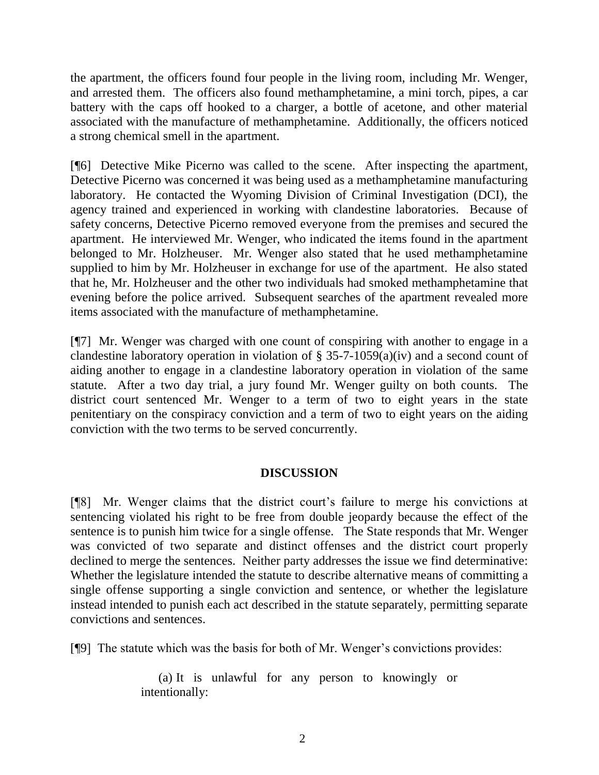the apartment, the officers found four people in the living room, including Mr. Wenger, and arrested them. The officers also found methamphetamine, a mini torch, pipes, a car battery with the caps off hooked to a charger, a bottle of acetone, and other material associated with the manufacture of methamphetamine. Additionally, the officers noticed a strong chemical smell in the apartment.

[¶6] Detective Mike Picerno was called to the scene. After inspecting the apartment, Detective Picerno was concerned it was being used as a methamphetamine manufacturing laboratory. He contacted the Wyoming Division of Criminal Investigation (DCI), the agency trained and experienced in working with clandestine laboratories. Because of safety concerns, Detective Picerno removed everyone from the premises and secured the apartment. He interviewed Mr. Wenger, who indicated the items found in the apartment belonged to Mr. Holzheuser. Mr. Wenger also stated that he used methamphetamine supplied to him by Mr. Holzheuser in exchange for use of the apartment. He also stated that he, Mr. Holzheuser and the other two individuals had smoked methamphetamine that evening before the police arrived. Subsequent searches of the apartment revealed more items associated with the manufacture of methamphetamine.

[¶7] Mr. Wenger was charged with one count of conspiring with another to engage in a clandestine laboratory operation in violation of  $\S 35$ -7-1059(a)(iv) and a second count of aiding another to engage in a clandestine laboratory operation in violation of the same statute. After a two day trial, a jury found Mr. Wenger guilty on both counts. The district court sentenced Mr. Wenger to a term of two to eight years in the state penitentiary on the conspiracy conviction and a term of two to eight years on the aiding conviction with the two terms to be served concurrently.

# **DISCUSSION**

[¶8] Mr. Wenger claims that the district court"s failure to merge his convictions at sentencing violated his right to be free from double jeopardy because the effect of the sentence is to punish him twice for a single offense. The State responds that Mr. Wenger was convicted of two separate and distinct offenses and the district court properly declined to merge the sentences. Neither party addresses the issue we find determinative: Whether the legislature intended the statute to describe alternative means of committing a single offense supporting a single conviction and sentence, or whether the legislature instead intended to punish each act described in the statute separately, permitting separate convictions and sentences.

[¶9] The statute which was the basis for both of Mr. Wenger"s convictions provides:

(a) It is unlawful for any person to knowingly or intentionally: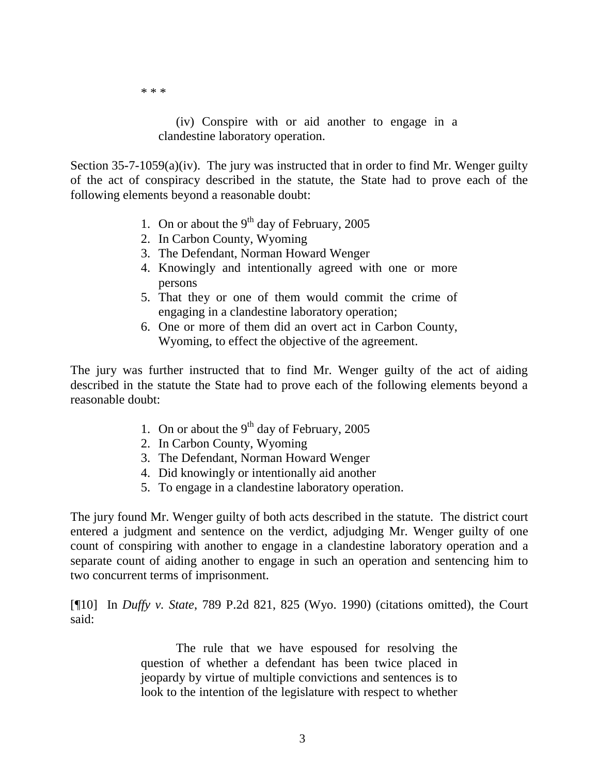\* \* \*

(iv) Conspire with or aid another to engage in a clandestine laboratory operation.

Section 35-7-1059(a)(iv). The jury was instructed that in order to find Mr. Wenger guilty of the act of conspiracy described in the statute, the State had to prove each of the following elements beyond a reasonable doubt:

- 1. On or about the  $9<sup>th</sup>$  day of February, 2005
- 2. In Carbon County, Wyoming
- 3. The Defendant, Norman Howard Wenger
- 4. Knowingly and intentionally agreed with one or more persons
- 5. That they or one of them would commit the crime of engaging in a clandestine laboratory operation;
- 6. One or more of them did an overt act in Carbon County, Wyoming, to effect the objective of the agreement.

The jury was further instructed that to find Mr. Wenger guilty of the act of aiding described in the statute the State had to prove each of the following elements beyond a reasonable doubt:

- 1. On or about the  $9<sup>th</sup>$  day of February, 2005
- 2. In Carbon County, Wyoming
- 3. The Defendant, Norman Howard Wenger
- 4. Did knowingly or intentionally aid another
- 5. To engage in a clandestine laboratory operation.

The jury found Mr. Wenger guilty of both acts described in the statute. The district court entered a judgment and sentence on the verdict, adjudging Mr. Wenger guilty of one count of conspiring with another to engage in a clandestine laboratory operation and a separate count of aiding another to engage in such an operation and sentencing him to two concurrent terms of imprisonment.

[¶10] In *Duffy v. State*, 789 P.2d 821, 825 (Wyo. 1990) (citations omitted), the Court said:

> The rule that we have espoused for resolving the question of whether a defendant has been twice placed in jeopardy by virtue of multiple convictions and sentences is to look to the intention of the legislature with respect to whether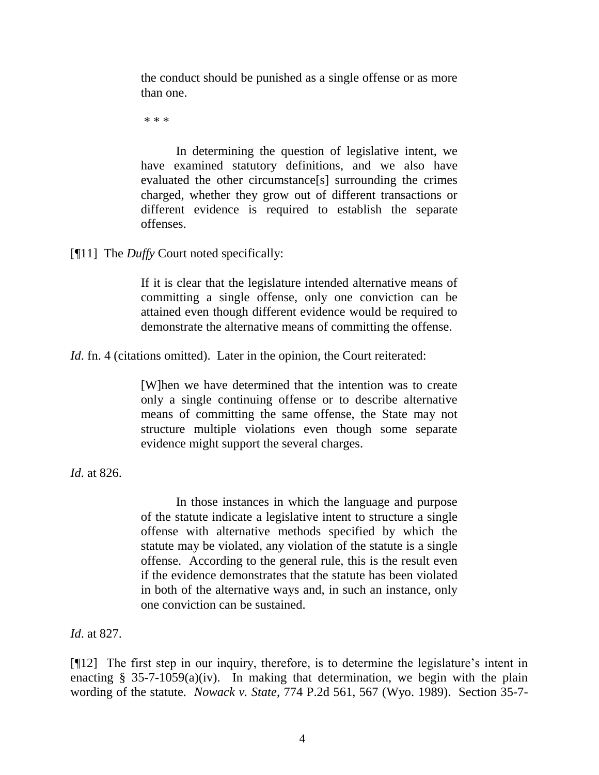the conduct should be punished as a single offense or as more than one.

\* \* \*

In determining the question of legislative intent, we have examined statutory definitions, and we also have evaluated the other circumstance[s] surrounding the crimes charged, whether they grow out of different transactions or different evidence is required to establish the separate offenses.

[¶11] The *Duffy* Court noted specifically:

If it is clear that the legislature intended alternative means of committing a single offense, only one conviction can be attained even though different evidence would be required to demonstrate the alternative means of committing the offense.

*Id.* fn. 4 (citations omitted). Later in the opinion, the Court reiterated:

[W]hen we have determined that the intention was to create only a single continuing offense or to describe alternative means of committing the same offense, the State may not structure multiple violations even though some separate evidence might support the several charges.

*Id*. at 826.

In those instances in which the language and purpose of the statute indicate a legislative intent to structure a single offense with alternative methods specified by which the statute may be violated, any violation of the statute is a single offense. According to the general rule, this is the result even if the evidence demonstrates that the statute has been violated in both of the alternative ways and, in such an instance, only one conviction can be sustained.

*Id*. at 827.

[¶12] The first step in our inquiry, therefore, is to determine the legislature's intent in enacting  $\S$  35-7-1059(a)(iv). In making that determination, we begin with the plain wording of the statute. *Nowack v. State*, 774 P.2d 561, 567 (Wyo. 1989). Section 35-7-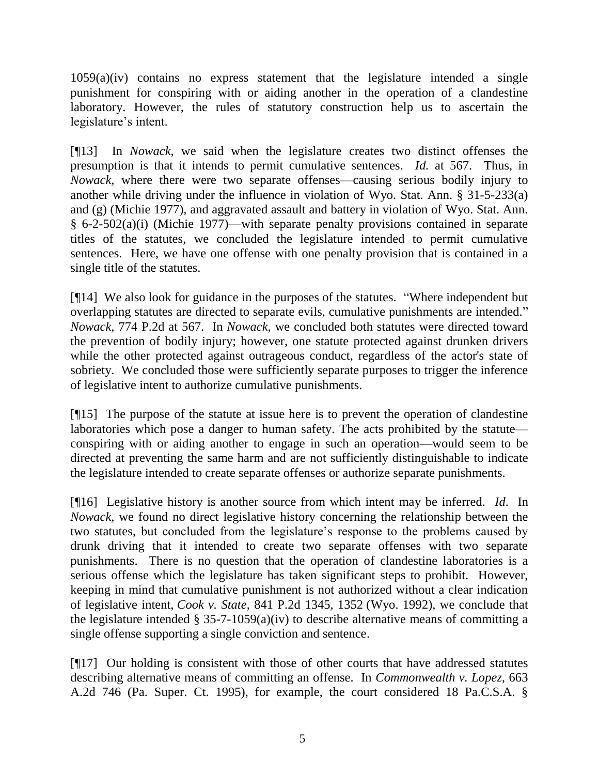1059(a)(iv) contains no express statement that the legislature intended a single punishment for conspiring with or aiding another in the operation of a clandestine laboratory. However, the rules of statutory construction help us to ascertain the legislature's intent.

[¶13] In *Nowack*, we said when the legislature creates two distinct offenses the presumption is that it intends to permit cumulative sentences. *Id.* at 567. Thus, in *Nowack*, where there were two separate offenses—causing serious bodily injury to another while driving under the influence in violation of Wyo. Stat. Ann. § 31-5-233(a) and (g) (Michie 1977), and aggravated assault and battery in violation of Wyo. Stat. Ann. § 6-2-502(a)(i) (Michie 1977)—with separate penalty provisions contained in separate titles of the statutes, we concluded the legislature intended to permit cumulative sentences. Here, we have one offense with one penalty provision that is contained in a single title of the statutes.

[¶14] We also look for guidance in the purposes of the statutes. "Where independent but overlapping statutes are directed to separate evils, cumulative punishments are intended." *Nowack*, 774 P.2d at 567. In *Nowack*, we concluded both statutes were directed toward the prevention of bodily injury; however, one statute protected against drunken drivers while the other protected against outrageous conduct, regardless of the actor's state of sobriety. We concluded those were sufficiently separate purposes to trigger the inference of legislative intent to authorize cumulative punishments.

[¶15] The purpose of the statute at issue here is to prevent the operation of clandestine laboratories which pose a danger to human safety. The acts prohibited by the statute conspiring with or aiding another to engage in such an operation—would seem to be directed at preventing the same harm and are not sufficiently distinguishable to indicate the legislature intended to create separate offenses or authorize separate punishments.

[¶16] Legislative history is another source from which intent may be inferred. *Id*. In *Nowack*, we found no direct legislative history concerning the relationship between the two statutes, but concluded from the legislature's response to the problems caused by drunk driving that it intended to create two separate offenses with two separate punishments. There is no question that the operation of clandestine laboratories is a serious offense which the legislature has taken significant steps to prohibit. However, keeping in mind that cumulative punishment is not authorized without a clear indication of legislative intent, *Cook v. State*, 841 P.2d 1345, 1352 (Wyo. 1992), we conclude that the legislature intended § 35-7-1059(a)(iv) to describe alternative means of committing a single offense supporting a single conviction and sentence.

[¶17] Our holding is consistent with those of other courts that have addressed statutes describing alternative means of committing an offense. In *Commonwealth v. Lopez*, 663 A.2d 746 (Pa. Super. Ct. 1995), for example, the court considered 18 Pa.C.S.A. §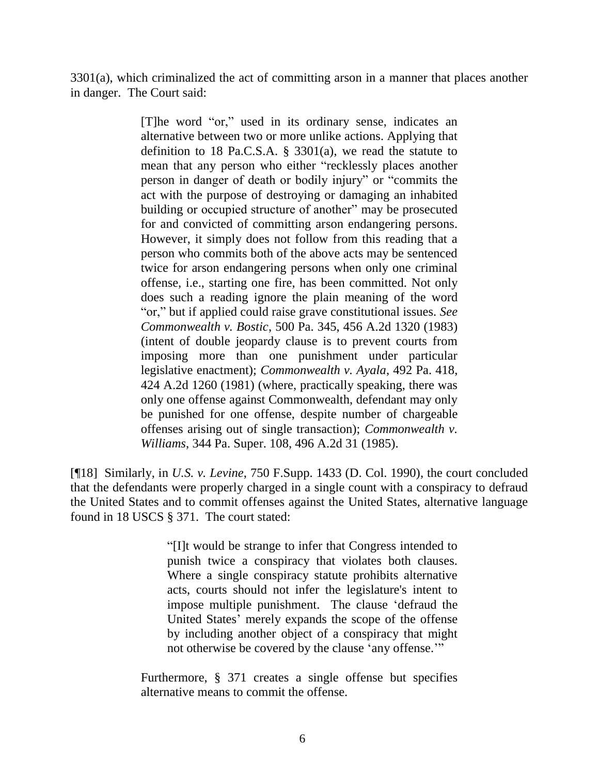3301(a), which criminalized the act of committing arson in a manner that places another in danger. The Court said:

> [T]he word "or," used in its ordinary sense, indicates an alternative between two or more unlike actions. Applying that definition to 18 Pa.C.S.A. § 3301(a), we read the statute to mean that any person who either "recklessly places another person in danger of death or bodily injury" or "commits the act with the purpose of destroying or damaging an inhabited building or occupied structure of another" may be prosecuted for and convicted of committing arson endangering persons. However, it simply does not follow from this reading that a person who commits both of the above acts may be sentenced twice for arson endangering persons when only one criminal offense, i.e., starting one fire, has been committed. Not only does such a reading ignore the plain meaning of the word "or," but if applied could raise grave constitutional issues. *See Commonwealth v. Bostic*, 500 Pa. 345, 456 A.2d 1320 (1983) (intent of double jeopardy clause is to prevent courts from imposing more than one punishment under particular legislative enactment); *Commonwealth v. Ayala*, 492 Pa. 418, 424 A.2d 1260 (1981) (where, practically speaking, there was only one offense against Commonwealth, defendant may only be punished for one offense, despite number of chargeable offenses arising out of single transaction); *Commonwealth v. Williams*, 344 Pa. Super. 108, 496 A.2d 31 (1985).

[¶18] Similarly, in *U.S. v. Levine*, 750 F.Supp. 1433 (D. Col. 1990), the court concluded that the defendants were properly charged in a single count with a conspiracy to defraud the United States and to commit offenses against the United States, alternative language found in 18 USCS § 371. The court stated:

> "[I]t would be strange to infer that Congress intended to punish twice a conspiracy that violates both clauses. Where a single conspiracy statute prohibits alternative acts, courts should not infer the legislature's intent to impose multiple punishment. The clause "defraud the United States" merely expands the scope of the offense by including another object of a conspiracy that might not otherwise be covered by the clause "any offense.""

Furthermore, § 371 creates a single offense but specifies alternative means to commit the offense.